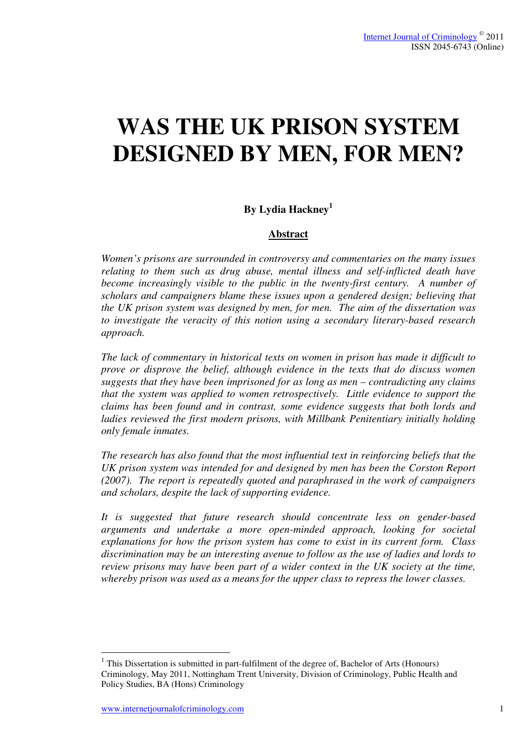# **WAS THE UK PRISON SYSTEM DESIGNED BY MEN, FOR MEN?**

# **By Lydia Hackney<sup>1</sup>**

#### **Abstract**

*Women's prisons are surrounded in controversy and commentaries on the many issues relating to them such as drug abuse, mental illness and self-inflicted death have become increasingly visible to the public in the twenty-first century. A number of scholars and campaigners blame these issues upon a gendered design; believing that the UK prison system was designed by men, for men. The aim of the dissertation was to investigate the veracity of this notion using a secondary literary-based research approach.* 

*The lack of commentary in historical texts on women in prison has made it difficult to prove or disprove the belief, although evidence in the texts that do discuss women suggests that they have been imprisoned for as long as men – contradicting any claims that the system was applied to women retrospectively. Little evidence to support the claims has been found and in contrast, some evidence suggests that both lords and ladies reviewed the first modern prisons, with Millbank Penitentiary initially holding only female inmates.* 

*The research has also found that the most influential text in reinforcing beliefs that the UK prison system was intended for and designed by men has been the Corston Report (2007). The report is repeatedly quoted and paraphrased in the work of campaigners and scholars, despite the lack of supporting evidence.* 

*It is suggested that future research should concentrate less on gender-based arguments and undertake a more open-minded approach, looking for societal explanations for how the prison system has come to exist in its current form. Class discrimination may be an interesting avenue to follow as the use of ladies and lords to review prisons may have been part of a wider context in the UK society at the time, whereby prison was used as a means for the upper class to repress the lower classes.* 

 $\overline{a}$ 

 $<sup>1</sup>$  This Dissertation is submitted in part-fulfilment of the degree of, Bachelor of Arts (Honours)</sup> Criminology, May 2011, Nottingham Trent University, Division of Criminology, Public Health and Policy Studies, BA (Hons) Criminology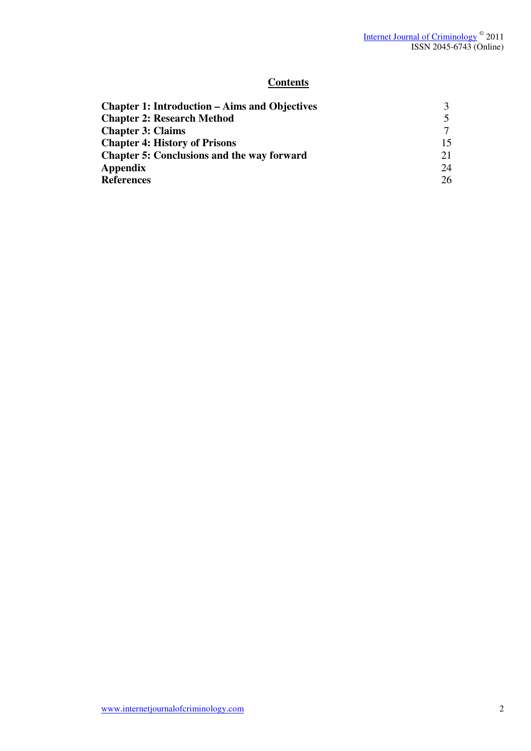## **Contents**

| <b>Chapter 1: Introduction – Aims and Objectives</b> |    |
|------------------------------------------------------|----|
| <b>Chapter 2: Research Method</b>                    |    |
| <b>Chapter 3: Claims</b>                             |    |
| <b>Chapter 4: History of Prisons</b>                 | 15 |
| <b>Chapter 5: Conclusions and the way forward</b>    | 21 |
| Appendix                                             | 24 |
| <b>References</b>                                    | 26 |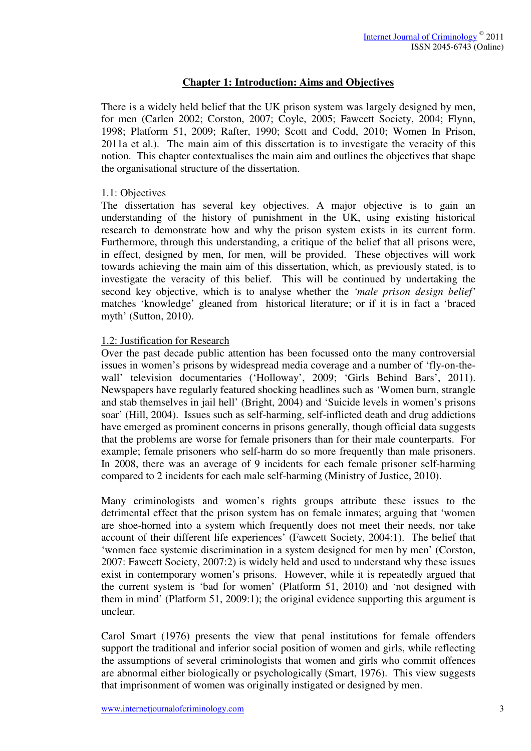## **Chapter 1: Introduction: Aims and Objectives**

There is a widely held belief that the UK prison system was largely designed by men, for men (Carlen 2002; Corston, 2007; Coyle, 2005; Fawcett Society, 2004; Flynn, 1998; Platform 51, 2009; Rafter, 1990; Scott and Codd, 2010; Women In Prison, 2011a et al.). The main aim of this dissertation is to investigate the veracity of this notion. This chapter contextualises the main aim and outlines the objectives that shape the organisational structure of the dissertation.

#### 1.1: Objectives

The dissertation has several key objectives. A major objective is to gain an understanding of the history of punishment in the UK, using existing historical research to demonstrate how and why the prison system exists in its current form. Furthermore, through this understanding, a critique of the belief that all prisons were, in effect, designed by men, for men, will be provided. These objectives will work towards achieving the main aim of this dissertation, which, as previously stated, is to investigate the veracity of this belief. This will be continued by undertaking the second key objective, which is to analyse whether the *'male prison design belief'*  matches 'knowledge' gleaned from historical literature; or if it is in fact a 'braced myth' (Sutton, 2010).

## 1.2: Justification for Research

Over the past decade public attention has been focussed onto the many controversial issues in women's prisons by widespread media coverage and a number of 'fly-on-thewall' television documentaries ('Holloway', 2009; 'Girls Behind Bars', 2011). Newspapers have regularly featured shocking headlines such as 'Women burn, strangle and stab themselves in jail hell' (Bright, 2004) and 'Suicide levels in women's prisons soar' (Hill, 2004). Issues such as self-harming, self-inflicted death and drug addictions have emerged as prominent concerns in prisons generally, though official data suggests that the problems are worse for female prisoners than for their male counterparts. For example; female prisoners who self-harm do so more frequently than male prisoners. In 2008, there was an average of 9 incidents for each female prisoner self-harming compared to 2 incidents for each male self-harming (Ministry of Justice, 2010).

Many criminologists and women's rights groups attribute these issues to the detrimental effect that the prison system has on female inmates; arguing that 'women are shoe-horned into a system which frequently does not meet their needs, nor take account of their different life experiences' (Fawcett Society, 2004:1). The belief that 'women face systemic discrimination in a system designed for men by men' (Corston, 2007: Fawcett Society, 2007:2) is widely held and used to understand why these issues exist in contemporary women's prisons. However, while it is repeatedly argued that the current system is 'bad for women' (Platform 51, 2010) and 'not designed with them in mind' (Platform 51, 2009:1); the original evidence supporting this argument is unclear.

Carol Smart (1976) presents the view that penal institutions for female offenders support the traditional and inferior social position of women and girls, while reflecting the assumptions of several criminologists that women and girls who commit offences are abnormal either biologically or psychologically (Smart, 1976). This view suggests that imprisonment of women was originally instigated or designed by men.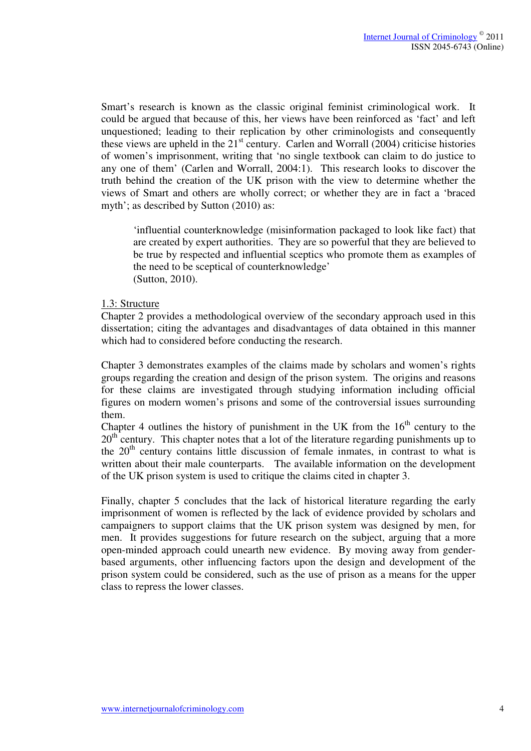Smart's research is known as the classic original feminist criminological work. It could be argued that because of this, her views have been reinforced as 'fact' and left unquestioned; leading to their replication by other criminologists and consequently these views are upheld in the  $21<sup>st</sup>$  century. Carlen and Worrall (2004) criticise histories of women's imprisonment, writing that 'no single textbook can claim to do justice to any one of them' (Carlen and Worrall, 2004:1). This research looks to discover the truth behind the creation of the UK prison with the view to determine whether the views of Smart and others are wholly correct; or whether they are in fact a 'braced myth'; as described by Sutton (2010) as:

'influential counterknowledge (misinformation packaged to look like fact) that are created by expert authorities. They are so powerful that they are believed to be true by respected and influential sceptics who promote them as examples of the need to be sceptical of counterknowledge' (Sutton, 2010).

#### 1.3: Structure

Chapter 2 provides a methodological overview of the secondary approach used in this dissertation; citing the advantages and disadvantages of data obtained in this manner which had to considered before conducting the research.

Chapter 3 demonstrates examples of the claims made by scholars and women's rights groups regarding the creation and design of the prison system. The origins and reasons for these claims are investigated through studying information including official figures on modern women's prisons and some of the controversial issues surrounding them.

Chapter 4 outlines the history of punishment in the UK from the  $16<sup>th</sup>$  century to the 20<sup>th</sup> century. This chapter notes that a lot of the literature regarding punishments up to the  $20<sup>th</sup>$  century contains little discussion of female inmates, in contrast to what is written about their male counterparts. The available information on the development of the UK prison system is used to critique the claims cited in chapter 3.

Finally, chapter 5 concludes that the lack of historical literature regarding the early imprisonment of women is reflected by the lack of evidence provided by scholars and campaigners to support claims that the UK prison system was designed by men, for men. It provides suggestions for future research on the subject, arguing that a more open-minded approach could unearth new evidence. By moving away from genderbased arguments, other influencing factors upon the design and development of the prison system could be considered, such as the use of prison as a means for the upper class to repress the lower classes.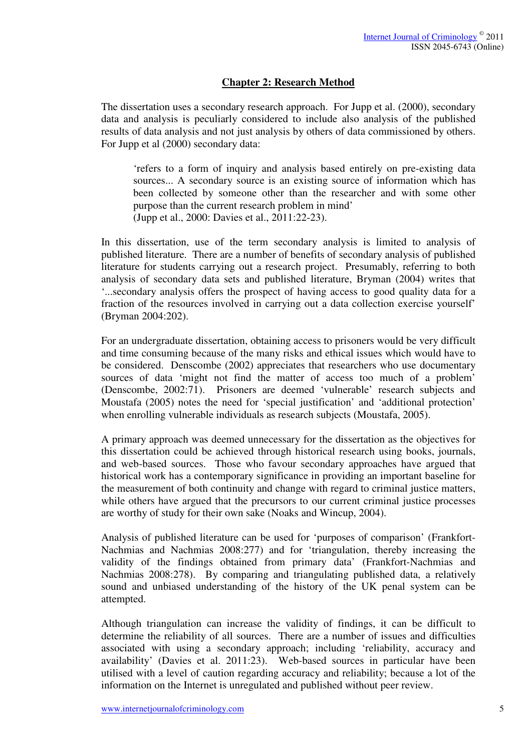## **Chapter 2: Research Method**

The dissertation uses a secondary research approach. For Jupp et al. (2000), secondary data and analysis is peculiarly considered to include also analysis of the published results of data analysis and not just analysis by others of data commissioned by others. For Jupp et al (2000) secondary data:

'refers to a form of inquiry and analysis based entirely on pre-existing data sources... A secondary source is an existing source of information which has been collected by someone other than the researcher and with some other purpose than the current research problem in mind' (Jupp et al., 2000: Davies et al., 2011:22-23).

In this dissertation, use of the term secondary analysis is limited to analysis of published literature. There are a number of benefits of secondary analysis of published literature for students carrying out a research project. Presumably, referring to both analysis of secondary data sets and published literature, Bryman (2004) writes that '...secondary analysis offers the prospect of having access to good quality data for a fraction of the resources involved in carrying out a data collection exercise yourself' (Bryman 2004:202).

For an undergraduate dissertation, obtaining access to prisoners would be very difficult and time consuming because of the many risks and ethical issues which would have to be considered. Denscombe (2002) appreciates that researchers who use documentary sources of data 'might not find the matter of access too much of a problem' (Denscombe, 2002:71). Prisoners are deemed 'vulnerable' research subjects and Moustafa (2005) notes the need for 'special justification' and 'additional protection' when enrolling vulnerable individuals as research subjects (Moustafa, 2005).

A primary approach was deemed unnecessary for the dissertation as the objectives for this dissertation could be achieved through historical research using books, journals, and web-based sources. Those who favour secondary approaches have argued that historical work has a contemporary significance in providing an important baseline for the measurement of both continuity and change with regard to criminal justice matters, while others have argued that the precursors to our current criminal justice processes are worthy of study for their own sake (Noaks and Wincup, 2004).

Analysis of published literature can be used for 'purposes of comparison' (Frankfort-Nachmias and Nachmias 2008:277) and for 'triangulation, thereby increasing the validity of the findings obtained from primary data' (Frankfort-Nachmias and Nachmias 2008:278). By comparing and triangulating published data, a relatively sound and unbiased understanding of the history of the UK penal system can be attempted.

Although triangulation can increase the validity of findings, it can be difficult to determine the reliability of all sources. There are a number of issues and difficulties associated with using a secondary approach; including 'reliability, accuracy and availability' (Davies et al. 2011:23). Web-based sources in particular have been utilised with a level of caution regarding accuracy and reliability; because a lot of the information on the Internet is unregulated and published without peer review.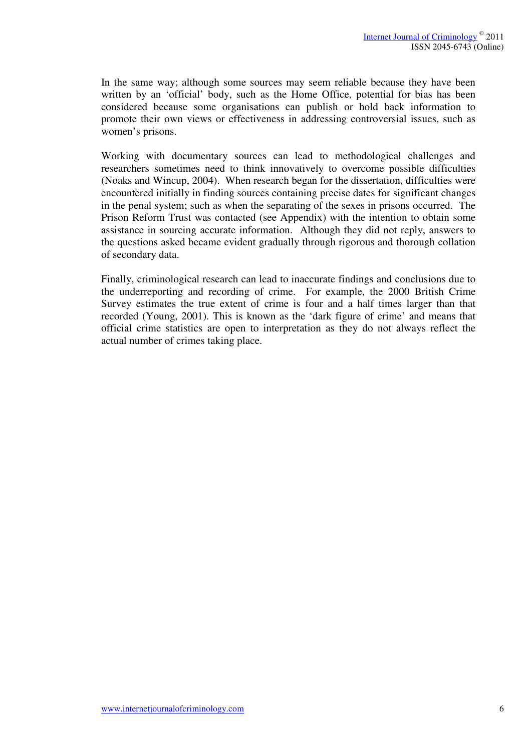In the same way; although some sources may seem reliable because they have been written by an 'official' body, such as the Home Office, potential for bias has been considered because some organisations can publish or hold back information to promote their own views or effectiveness in addressing controversial issues, such as women's prisons.

Working with documentary sources can lead to methodological challenges and researchers sometimes need to think innovatively to overcome possible difficulties (Noaks and Wincup, 2004). When research began for the dissertation, difficulties were encountered initially in finding sources containing precise dates for significant changes in the penal system; such as when the separating of the sexes in prisons occurred. The Prison Reform Trust was contacted (see Appendix) with the intention to obtain some assistance in sourcing accurate information. Although they did not reply, answers to the questions asked became evident gradually through rigorous and thorough collation of secondary data.

Finally, criminological research can lead to inaccurate findings and conclusions due to the underreporting and recording of crime. For example, the 2000 British Crime Survey estimates the true extent of crime is four and a half times larger than that recorded (Young, 2001). This is known as the 'dark figure of crime' and means that official crime statistics are open to interpretation as they do not always reflect the actual number of crimes taking place.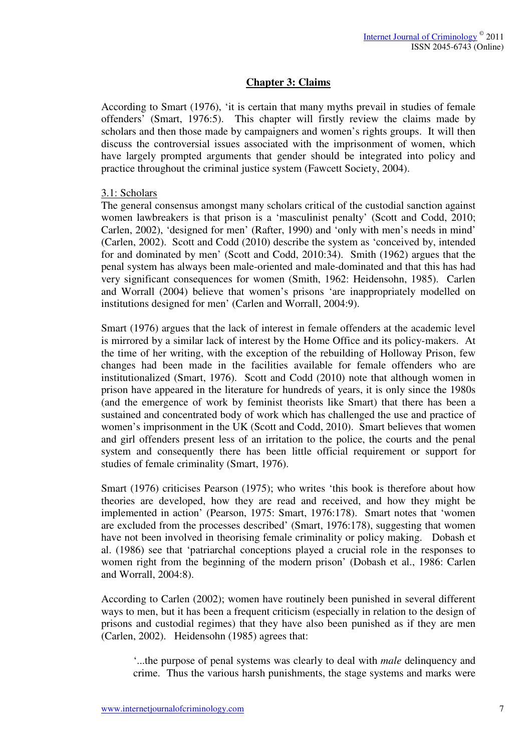## **Chapter 3: Claims**

According to Smart (1976), 'it is certain that many myths prevail in studies of female offenders' (Smart, 1976:5). This chapter will firstly review the claims made by scholars and then those made by campaigners and women's rights groups. It will then discuss the controversial issues associated with the imprisonment of women, which have largely prompted arguments that gender should be integrated into policy and practice throughout the criminal justice system (Fawcett Society, 2004).

#### 3.1: Scholars

The general consensus amongst many scholars critical of the custodial sanction against women lawbreakers is that prison is a 'masculinist penalty' (Scott and Codd, 2010; Carlen, 2002), 'designed for men' (Rafter, 1990) and 'only with men's needs in mind' (Carlen, 2002). Scott and Codd (2010) describe the system as 'conceived by, intended for and dominated by men' (Scott and Codd, 2010:34). Smith (1962) argues that the penal system has always been male-oriented and male-dominated and that this has had very significant consequences for women (Smith, 1962: Heidensohn, 1985). Carlen and Worrall (2004) believe that women's prisons 'are inappropriately modelled on institutions designed for men' (Carlen and Worrall, 2004:9).

Smart (1976) argues that the lack of interest in female offenders at the academic level is mirrored by a similar lack of interest by the Home Office and its policy-makers. At the time of her writing, with the exception of the rebuilding of Holloway Prison, few changes had been made in the facilities available for female offenders who are institutionalized (Smart, 1976). Scott and Codd (2010) note that although women in prison have appeared in the literature for hundreds of years, it is only since the 1980s (and the emergence of work by feminist theorists like Smart) that there has been a sustained and concentrated body of work which has challenged the use and practice of women's imprisonment in the UK (Scott and Codd, 2010). Smart believes that women and girl offenders present less of an irritation to the police, the courts and the penal system and consequently there has been little official requirement or support for studies of female criminality (Smart, 1976).

Smart (1976) criticises Pearson (1975); who writes 'this book is therefore about how theories are developed, how they are read and received, and how they might be implemented in action' (Pearson, 1975: Smart, 1976:178). Smart notes that 'women are excluded from the processes described' (Smart, 1976:178), suggesting that women have not been involved in theorising female criminality or policy making. Dobash et al. (1986) see that 'patriarchal conceptions played a crucial role in the responses to women right from the beginning of the modern prison' (Dobash et al., 1986: Carlen and Worrall, 2004:8).

According to Carlen (2002); women have routinely been punished in several different ways to men, but it has been a frequent criticism (especially in relation to the design of prisons and custodial regimes) that they have also been punished as if they are men (Carlen, 2002). Heidensohn (1985) agrees that:

'...the purpose of penal systems was clearly to deal with *male* delinquency and crime. Thus the various harsh punishments, the stage systems and marks were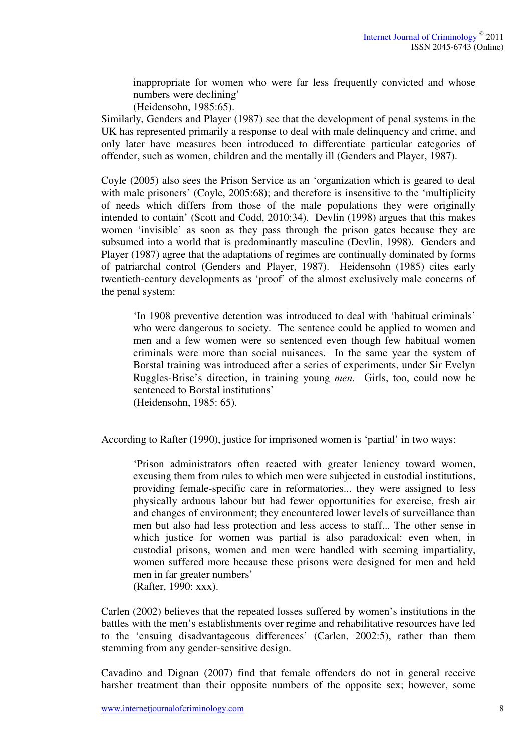inappropriate for women who were far less frequently convicted and whose numbers were declining'

(Heidensohn, 1985:65).

Similarly, Genders and Player (1987) see that the development of penal systems in the UK has represented primarily a response to deal with male delinquency and crime, and only later have measures been introduced to differentiate particular categories of offender, such as women, children and the mentally ill (Genders and Player, 1987).

Coyle (2005) also sees the Prison Service as an 'organization which is geared to deal with male prisoners' (Coyle, 2005:68); and therefore is insensitive to the 'multiplicity of needs which differs from those of the male populations they were originally intended to contain' (Scott and Codd, 2010:34). Devlin (1998) argues that this makes women 'invisible' as soon as they pass through the prison gates because they are subsumed into a world that is predominantly masculine (Devlin, 1998). Genders and Player (1987) agree that the adaptations of regimes are continually dominated by forms of patriarchal control (Genders and Player, 1987). Heidensohn (1985) cites early twentieth-century developments as 'proof' of the almost exclusively male concerns of the penal system:

'In 1908 preventive detention was introduced to deal with 'habitual criminals' who were dangerous to society. The sentence could be applied to women and men and a few women were so sentenced even though few habitual women criminals were more than social nuisances. In the same year the system of Borstal training was introduced after a series of experiments, under Sir Evelyn Ruggles-Brise's direction, in training young *men.* Girls, too, could now be sentenced to Borstal institutions' (Heidensohn, 1985: 65).

According to Rafter (1990), justice for imprisoned women is 'partial' in two ways:

'Prison administrators often reacted with greater leniency toward women, excusing them from rules to which men were subjected in custodial institutions, providing female-specific care in reformatories... they were assigned to less physically arduous labour but had fewer opportunities for exercise, fresh air and changes of environment; they encountered lower levels of surveillance than men but also had less protection and less access to staff... The other sense in which justice for women was partial is also paradoxical: even when, in custodial prisons, women and men were handled with seeming impartiality, women suffered more because these prisons were designed for men and held men in far greater numbers' (Rafter, 1990: xxx).

Carlen (2002) believes that the repeated losses suffered by women's institutions in the battles with the men's establishments over regime and rehabilitative resources have led to the 'ensuing disadvantageous differences' (Carlen, 2002:5), rather than them stemming from any gender-sensitive design.

Cavadino and Dignan (2007) find that female offenders do not in general receive harsher treatment than their opposite numbers of the opposite sex; however, some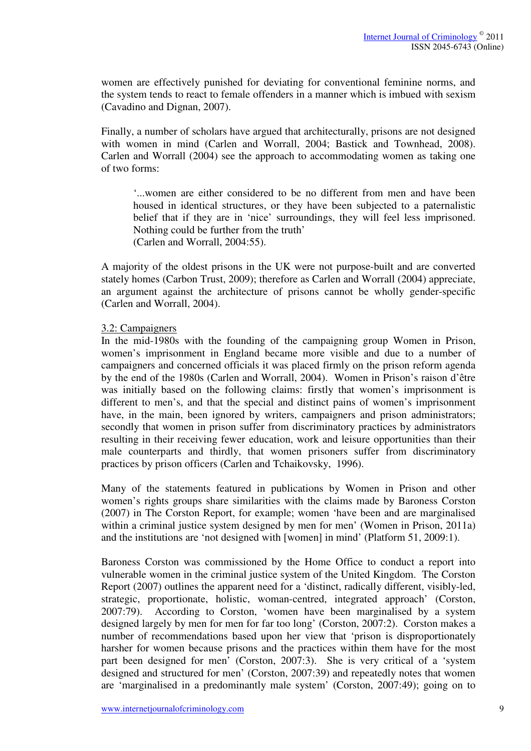women are effectively punished for deviating for conventional feminine norms, and the system tends to react to female offenders in a manner which is imbued with sexism (Cavadino and Dignan, 2007).

Finally, a number of scholars have argued that architecturally, prisons are not designed with women in mind (Carlen and Worrall, 2004; Bastick and Townhead, 2008). Carlen and Worrall (2004) see the approach to accommodating women as taking one of two forms:

'...women are either considered to be no different from men and have been housed in identical structures, or they have been subjected to a paternalistic belief that if they are in 'nice' surroundings, they will feel less imprisoned. Nothing could be further from the truth' (Carlen and Worrall, 2004:55).

A majority of the oldest prisons in the UK were not purpose-built and are converted stately homes (Carbon Trust, 2009); therefore as Carlen and Worrall (2004) appreciate,

an argument against the architecture of prisons cannot be wholly gender-specific (Carlen and Worrall, 2004).

#### 3.2: Campaigners

In the mid-1980s with the founding of the campaigning group Women in Prison, women's imprisonment in England became more visible and due to a number of campaigners and concerned officials it was placed firmly on the prison reform agenda by the end of the 1980s (Carlen and Worrall, 2004). Women in Prison's raison d'être was initially based on the following claims: firstly that women's imprisonment is different to men's, and that the special and distinct pains of women's imprisonment have, in the main, been ignored by writers, campaigners and prison administrators; secondly that women in prison suffer from discriminatory practices by administrators resulting in their receiving fewer education, work and leisure opportunities than their male counterparts and thirdly, that women prisoners suffer from discriminatory practices by prison officers (Carlen and Tchaikovsky, 1996).

Many of the statements featured in publications by Women in Prison and other women's rights groups share similarities with the claims made by Baroness Corston (2007) in The Corston Report, for example; women 'have been and are marginalised within a criminal justice system designed by men for men' (Women in Prison, 2011a) and the institutions are 'not designed with [women] in mind' (Platform 51, 2009:1).

Baroness Corston was commissioned by the Home Office to conduct a report into vulnerable women in the criminal justice system of the United Kingdom. The Corston Report (2007) outlines the apparent need for a 'distinct, radically different, visibly-led, strategic, proportionate, holistic, woman-centred, integrated approach' (Corston, 2007:79). According to Corston, 'women have been marginalised by a system designed largely by men for men for far too long' (Corston, 2007:2). Corston makes a number of recommendations based upon her view that 'prison is disproportionately harsher for women because prisons and the practices within them have for the most part been designed for men' (Corston, 2007:3). She is very critical of a 'system designed and structured for men' (Corston, 2007:39) and repeatedly notes that women are 'marginalised in a predominantly male system' (Corston, 2007:49); going on to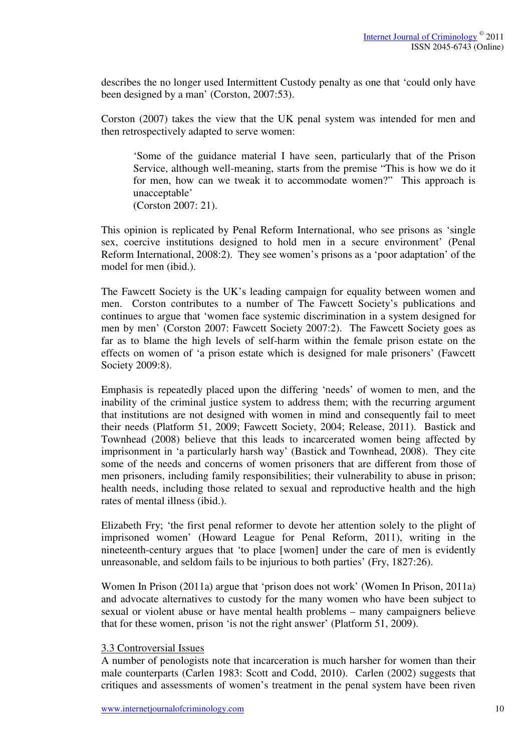describes the no longer used Intermittent Custody penalty as one that 'could only have been designed by a man' (Corston, 2007:53).

Corston (2007) takes the view that the UK penal system was intended for men and then retrospectively adapted to serve women:

'Some of the guidance material I have seen, particularly that of the Prison Service, although well-meaning, starts from the premise "This is how we do it for men, how can we tweak it to accommodate women?" This approach is unacceptable' (Corston 2007: 21).

This opinion is replicated by Penal Reform International, who see prisons as 'single sex, coercive institutions designed to hold men in a secure environment' (Penal Reform International, 2008:2). They see women's prisons as a 'poor adaptation' of the model for men (ibid.).

The Fawcett Society is the UK's leading campaign for equality between women and men. Corston contributes to a number of The Fawcett Society's publications and continues to argue that 'women face systemic discrimination in a system designed for men by men' (Corston 2007: Fawcett Society 2007:2). The Fawcett Society goes as far as to blame the high levels of self-harm within the female prison estate on the effects on women of 'a prison estate which is designed for male prisoners' (Fawcett Society 2009:8).

Emphasis is repeatedly placed upon the differing 'needs' of women to men, and the inability of the criminal justice system to address them; with the recurring argument that institutions are not designed with women in mind and consequently fail to meet their needs (Platform 51, 2009; Fawcett Society, 2004; Release, 2011). Bastick and Townhead (2008) believe that this leads to incarcerated women being affected by imprisonment in 'a particularly harsh way' (Bastick and Townhead, 2008). They cite some of the needs and concerns of women prisoners that are different from those of men prisoners, including family responsibilities; their vulnerability to abuse in prison; health needs, including those related to sexual and reproductive health and the high rates of mental illness (ibid.).

Elizabeth Fry; 'the first penal reformer to devote her attention solely to the plight of imprisoned women' (Howard League for Penal Reform, 2011), writing in the nineteenth-century argues that 'to place [women] under the care of men is evidently unreasonable, and seldom fails to be injurious to both parties' (Fry, 1827:26).

Women In Prison (2011a) argue that 'prison does not work' (Women In Prison, 2011a) and advocate alternatives to custody for the many women who have been subject to sexual or violent abuse or have mental health problems – many campaigners believe that for these women, prison 'is not the right answer' (Platform 51, 2009).

#### 3.3 Controversial Issues

A number of penologists note that incarceration is much harsher for women than their male counterparts (Carlen 1983: Scott and Codd, 2010). Carlen (2002) suggests that critiques and assessments of women's treatment in the penal system have been riven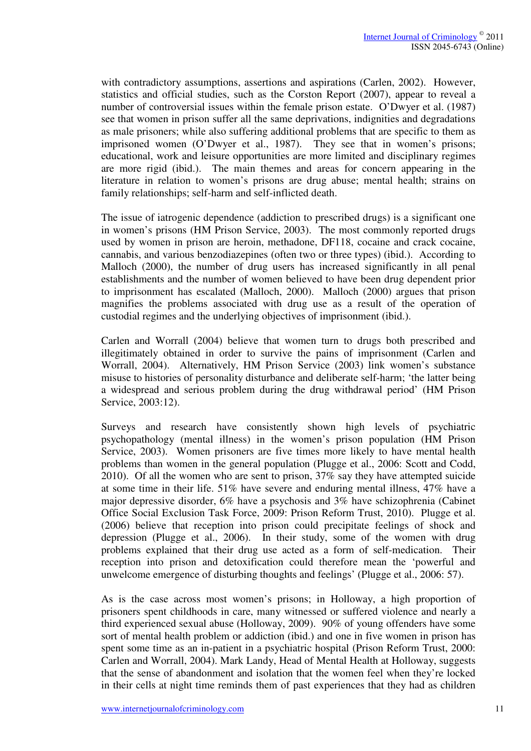with contradictory assumptions, assertions and aspirations (Carlen, 2002). However, statistics and official studies, such as the Corston Report (2007), appear to reveal a number of controversial issues within the female prison estate. O'Dwyer et al. (1987) see that women in prison suffer all the same deprivations, indignities and degradations as male prisoners; while also suffering additional problems that are specific to them as imprisoned women (O'Dwyer et al., 1987). They see that in women's prisons; educational, work and leisure opportunities are more limited and disciplinary regimes are more rigid (ibid.). The main themes and areas for concern appearing in the literature in relation to women's prisons are drug abuse; mental health; strains on family relationships; self-harm and self-inflicted death.

The issue of iatrogenic dependence (addiction to prescribed drugs) is a significant one in women's prisons (HM Prison Service, 2003). The most commonly reported drugs used by women in prison are heroin, methadone, DF118, cocaine and crack cocaine, cannabis, and various benzodiazepines (often two or three types) (ibid.). According to Malloch (2000), the number of drug users has increased significantly in all penal establishments and the number of women believed to have been drug dependent prior to imprisonment has escalated (Malloch, 2000). Malloch (2000) argues that prison magnifies the problems associated with drug use as a result of the operation of custodial regimes and the underlying objectives of imprisonment (ibid.).

Carlen and Worrall (2004) believe that women turn to drugs both prescribed and illegitimately obtained in order to survive the pains of imprisonment (Carlen and Worrall, 2004). Alternatively, HM Prison Service (2003) link women's substance misuse to histories of personality disturbance and deliberate self-harm; 'the latter being a widespread and serious problem during the drug withdrawal period' (HM Prison Service, 2003:12).

Surveys and research have consistently shown high levels of psychiatric psychopathology (mental illness) in the women's prison population (HM Prison Service, 2003). Women prisoners are five times more likely to have mental health problems than women in the general population (Plugge et al., 2006: Scott and Codd, 2010). Of all the women who are sent to prison, 37% say they have attempted suicide at some time in their life. 51% have severe and enduring mental illness, 47% have a major depressive disorder, 6% have a psychosis and 3% have schizophrenia (Cabinet Office Social Exclusion Task Force, 2009: Prison Reform Trust, 2010). Plugge et al. (2006) believe that reception into prison could precipitate feelings of shock and depression (Plugge et al., 2006). In their study, some of the women with drug problems explained that their drug use acted as a form of self-medication. Their reception into prison and detoxification could therefore mean the 'powerful and unwelcome emergence of disturbing thoughts and feelings' (Plugge et al., 2006: 57).

As is the case across most women's prisons; in Holloway, a high proportion of prisoners spent childhoods in care, many witnessed or suffered violence and nearly a third experienced sexual abuse (Holloway, 2009). 90% of young offenders have some sort of mental health problem or addiction (ibid.) and one in five women in prison has spent some time as an in-patient in a psychiatric hospital (Prison Reform Trust, 2000: Carlen and Worrall, 2004). Mark Landy, Head of Mental Health at Holloway, suggests that the sense of abandonment and isolation that the women feel when they're locked in their cells at night time reminds them of past experiences that they had as children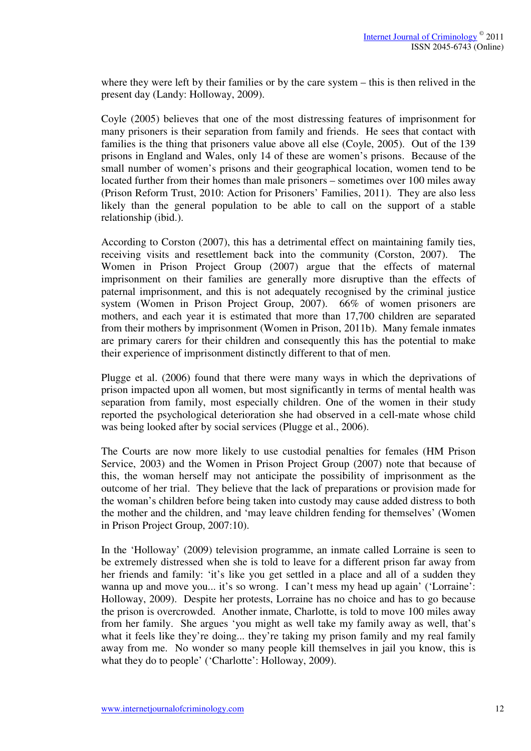where they were left by their families or by the care system – this is then relived in the present day (Landy: Holloway, 2009).

Coyle (2005) believes that one of the most distressing features of imprisonment for many prisoners is their separation from family and friends. He sees that contact with families is the thing that prisoners value above all else (Coyle, 2005). Out of the 139 prisons in England and Wales, only 14 of these are women's prisons. Because of the small number of women's prisons and their geographical location, women tend to be located further from their homes than male prisoners – sometimes over 100 miles away (Prison Reform Trust, 2010: Action for Prisoners' Families, 2011). They are also less likely than the general population to be able to call on the support of a stable relationship (ibid.).

According to Corston (2007), this has a detrimental effect on maintaining family ties, receiving visits and resettlement back into the community (Corston, 2007). The Women in Prison Project Group (2007) argue that the effects of maternal imprisonment on their families are generally more disruptive than the effects of paternal imprisonment, and this is not adequately recognised by the criminal justice system (Women in Prison Project Group, 2007). 66% of women prisoners are mothers, and each year it is estimated that more than 17,700 children are separated from their mothers by imprisonment (Women in Prison, 2011b). Many female inmates are primary carers for their children and consequently this has the potential to make their experience of imprisonment distinctly different to that of men.

Plugge et al. (2006) found that there were many ways in which the deprivations of prison impacted upon all women, but most significantly in terms of mental health was separation from family, most especially children. One of the women in their study reported the psychological deterioration she had observed in a cell-mate whose child was being looked after by social services (Plugge et al., 2006).

The Courts are now more likely to use custodial penalties for females (HM Prison Service, 2003) and the Women in Prison Project Group (2007) note that because of this, the woman herself may not anticipate the possibility of imprisonment as the outcome of her trial. They believe that the lack of preparations or provision made for the woman's children before being taken into custody may cause added distress to both the mother and the children, and 'may leave children fending for themselves' (Women in Prison Project Group, 2007:10).

In the 'Holloway' (2009) television programme, an inmate called Lorraine is seen to be extremely distressed when she is told to leave for a different prison far away from her friends and family: 'it's like you get settled in a place and all of a sudden they wanna up and move you... it's so wrong. I can't mess my head up again' ('Lorraine': Holloway, 2009). Despite her protests, Lorraine has no choice and has to go because the prison is overcrowded. Another inmate, Charlotte, is told to move 100 miles away from her family. She argues 'you might as well take my family away as well, that's what it feels like they're doing... they're taking my prison family and my real family away from me. No wonder so many people kill themselves in jail you know, this is what they do to people' ('Charlotte': Holloway, 2009).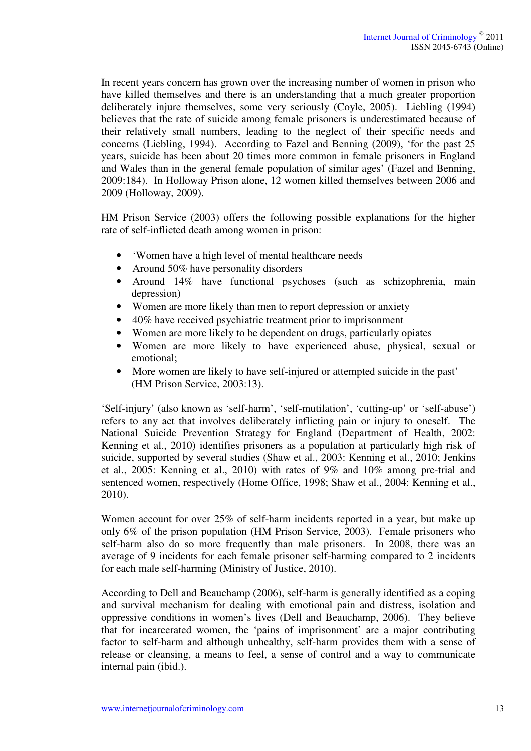In recent years concern has grown over the increasing number of women in prison who have killed themselves and there is an understanding that a much greater proportion deliberately injure themselves, some very seriously (Coyle, 2005). Liebling (1994) believes that the rate of suicide among female prisoners is underestimated because of their relatively small numbers, leading to the neglect of their specific needs and concerns (Liebling, 1994). According to Fazel and Benning (2009), 'for the past 25 years, suicide has been about 20 times more common in female prisoners in England and Wales than in the general female population of similar ages' (Fazel and Benning, 2009:184). In Holloway Prison alone, 12 women killed themselves between 2006 and 2009 (Holloway, 2009).

HM Prison Service (2003) offers the following possible explanations for the higher rate of self-inflicted death among women in prison:

- 'Women have a high level of mental healthcare needs
- Around 50% have personality disorders
- Around 14% have functional psychoses (such as schizophrenia, main depression)
- Women are more likely than men to report depression or anxiety
- 40% have received psychiatric treatment prior to imprisonment
- Women are more likely to be dependent on drugs, particularly opiates
- Women are more likely to have experienced abuse, physical, sexual or emotional;
- More women are likely to have self-injured or attempted suicide in the past' (HM Prison Service, 2003:13).

'Self-injury' (also known as 'self-harm', 'self-mutilation', 'cutting-up' or 'self-abuse') refers to any act that involves deliberately inflicting pain or injury to oneself. The National Suicide Prevention Strategy for England (Department of Health, 2002: Kenning et al., 2010) identifies prisoners as a population at particularly high risk of suicide, supported by several studies (Shaw et al., 2003: Kenning et al., 2010; Jenkins et al., 2005: Kenning et al., 2010) with rates of 9% and 10% among pre-trial and sentenced women, respectively (Home Office, 1998; Shaw et al., 2004: Kenning et al., 2010).

Women account for over 25% of self-harm incidents reported in a year, but make up only 6% of the prison population (HM Prison Service, 2003). Female prisoners who self-harm also do so more frequently than male prisoners. In 2008, there was an average of 9 incidents for each female prisoner self-harming compared to 2 incidents for each male self-harming (Ministry of Justice, 2010).

According to Dell and Beauchamp (2006), self-harm is generally identified as a coping and survival mechanism for dealing with emotional pain and distress, isolation and oppressive conditions in women's lives (Dell and Beauchamp, 2006). They believe that for incarcerated women, the 'pains of imprisonment' are a major contributing factor to self-harm and although unhealthy, self-harm provides them with a sense of release or cleansing, a means to feel, a sense of control and a way to communicate internal pain (ibid.).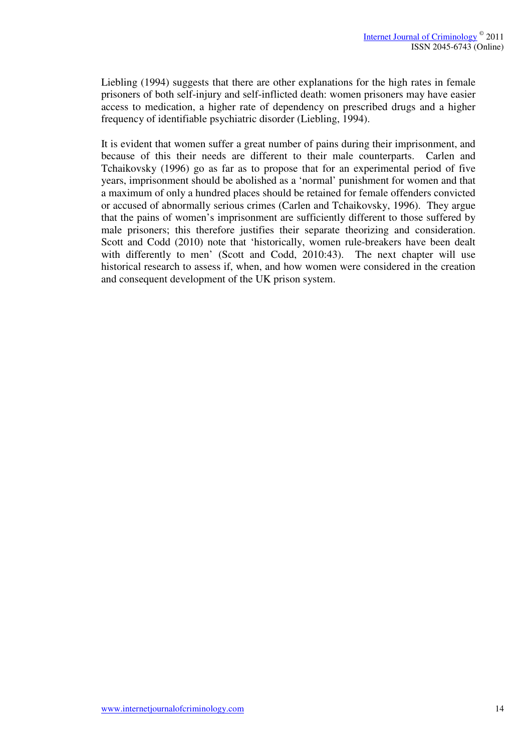Liebling (1994) suggests that there are other explanations for the high rates in female prisoners of both self-injury and self-inflicted death: women prisoners may have easier access to medication, a higher rate of dependency on prescribed drugs and a higher frequency of identifiable psychiatric disorder (Liebling, 1994).

It is evident that women suffer a great number of pains during their imprisonment, and because of this their needs are different to their male counterparts. Carlen and Tchaikovsky (1996) go as far as to propose that for an experimental period of five years, imprisonment should be abolished as a 'normal' punishment for women and that a maximum of only a hundred places should be retained for female offenders convicted or accused of abnormally serious crimes (Carlen and Tchaikovsky, 1996). They argue that the pains of women's imprisonment are sufficiently different to those suffered by male prisoners; this therefore justifies their separate theorizing and consideration. Scott and Codd (2010) note that 'historically, women rule-breakers have been dealt with differently to men' (Scott and Codd, 2010:43). The next chapter will use historical research to assess if, when, and how women were considered in the creation and consequent development of the UK prison system.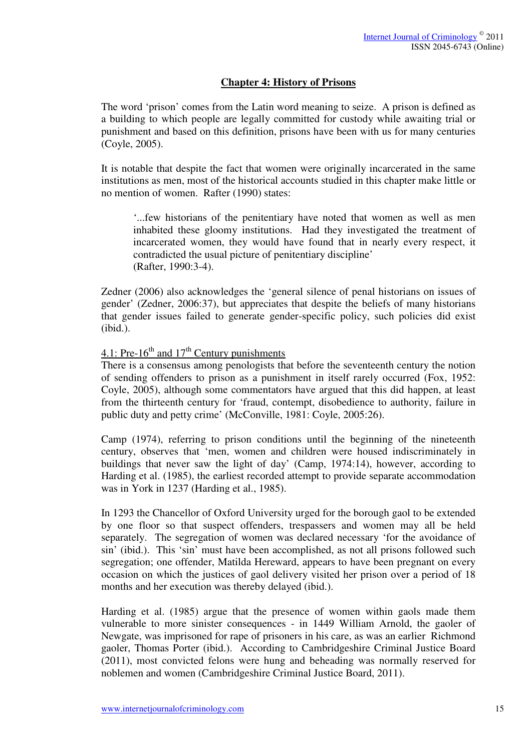## **Chapter 4: History of Prisons**

The word 'prison' comes from the Latin word meaning to seize. A prison is defined as a building to which people are legally committed for custody while awaiting trial or punishment and based on this definition, prisons have been with us for many centuries (Coyle, 2005).

It is notable that despite the fact that women were originally incarcerated in the same institutions as men, most of the historical accounts studied in this chapter make little or no mention of women. Rafter (1990) states:

'...few historians of the penitentiary have noted that women as well as men inhabited these gloomy institutions. Had they investigated the treatment of incarcerated women, they would have found that in nearly every respect, it contradicted the usual picture of penitentiary discipline' (Rafter, 1990:3-4).

Zedner (2006) also acknowledges the 'general silence of penal historians on issues of gender' (Zedner, 2006:37), but appreciates that despite the beliefs of many historians that gender issues failed to generate gender-specific policy, such policies did exist (ibid.).

# 4.1: Pre- $16^{th}$  and  $17^{th}$  Century punishments

There is a consensus among penologists that before the seventeenth century the notion of sending offenders to prison as a punishment in itself rarely occurred (Fox, 1952: Coyle, 2005), although some commentators have argued that this did happen, at least from the thirteenth century for 'fraud, contempt, disobedience to authority, failure in public duty and petty crime' (McConville, 1981: Coyle, 2005:26).

Camp (1974), referring to prison conditions until the beginning of the nineteenth century, observes that 'men, women and children were housed indiscriminately in buildings that never saw the light of day' (Camp, 1974:14), however, according to Harding et al. (1985), the earliest recorded attempt to provide separate accommodation was in York in 1237 (Harding et al., 1985).

In 1293 the Chancellor of Oxford University urged for the borough gaol to be extended by one floor so that suspect offenders, trespassers and women may all be held separately. The segregation of women was declared necessary 'for the avoidance of sin' (ibid.). This 'sin' must have been accomplished, as not all prisons followed such segregation; one offender, Matilda Hereward, appears to have been pregnant on every occasion on which the justices of gaol delivery visited her prison over a period of 18 months and her execution was thereby delayed (ibid.).

Harding et al. (1985) argue that the presence of women within gaols made them vulnerable to more sinister consequences - in 1449 William Arnold, the gaoler of Newgate, was imprisoned for rape of prisoners in his care, as was an earlier Richmond gaoler, Thomas Porter (ibid.). According to Cambridgeshire Criminal Justice Board (2011), most convicted felons were hung and beheading was normally reserved for noblemen and women (Cambridgeshire Criminal Justice Board, 2011).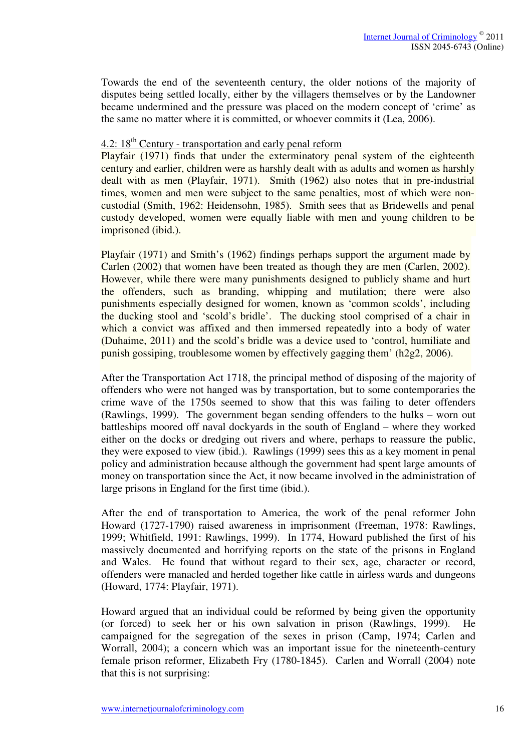Towards the end of the seventeenth century, the older notions of the majority of disputes being settled locally, either by the villagers themselves or by the Landowner became undermined and the pressure was placed on the modern concept of 'crime' as the same no matter where it is committed, or whoever commits it (Lea, 2006).

## 4.2:  $18<sup>th</sup>$  Century - transportation and early penal reform

Playfair (1971) finds that under the exterminatory penal system of the eighteenth century and earlier, children were as harshly dealt with as adults and women as harshly dealt with as men (Playfair, 1971). Smith (1962) also notes that in pre-industrial times, women and men were subject to the same penalties, most of which were noncustodial (Smith, 1962: Heidensohn, 1985). Smith sees that as Bridewells and penal custody developed, women were equally liable with men and young children to be imprisoned (ibid.).

Playfair (1971) and Smith's (1962) findings perhaps support the argument made by Carlen (2002) that women have been treated as though they are men (Carlen, 2002). However, while there were many punishments designed to publicly shame and hurt the offenders, such as branding, whipping and mutilation; there were also punishments especially designed for women, known as 'common scolds', including the ducking stool and 'scold's bridle'. The ducking stool comprised of a chair in which a convict was affixed and then immersed repeatedly into a body of water (Duhaime, 2011) and the scold's bridle was a device used to 'control, humiliate and punish gossiping, troublesome women by effectively gagging them' (h2g2, 2006).

After the Transportation Act 1718, the principal method of disposing of the majority of offenders who were not hanged was by transportation, but to some contemporaries the crime wave of the 1750s seemed to show that this was failing to deter offenders (Rawlings, 1999). The government began sending offenders to the hulks – worn out battleships moored off naval dockyards in the south of England – where they worked either on the docks or dredging out rivers and where, perhaps to reassure the public, they were exposed to view (ibid.). Rawlings (1999) sees this as a key moment in penal policy and administration because although the government had spent large amounts of money on transportation since the Act, it now became involved in the administration of large prisons in England for the first time (ibid.).

After the end of transportation to America, the work of the penal reformer John Howard (1727-1790) raised awareness in imprisonment (Freeman, 1978: Rawlings, 1999; Whitfield, 1991: Rawlings, 1999). In 1774, Howard published the first of his massively documented and horrifying reports on the state of the prisons in England and Wales. He found that without regard to their sex, age, character or record, offenders were manacled and herded together like cattle in airless wards and dungeons (Howard, 1774: Playfair, 1971).

Howard argued that an individual could be reformed by being given the opportunity (or forced) to seek her or his own salvation in prison (Rawlings, 1999). He campaigned for the segregation of the sexes in prison (Camp, 1974; Carlen and Worrall, 2004); a concern which was an important issue for the nineteenth-century female prison reformer, Elizabeth Fry (1780-1845). Carlen and Worrall (2004) note that this is not surprising: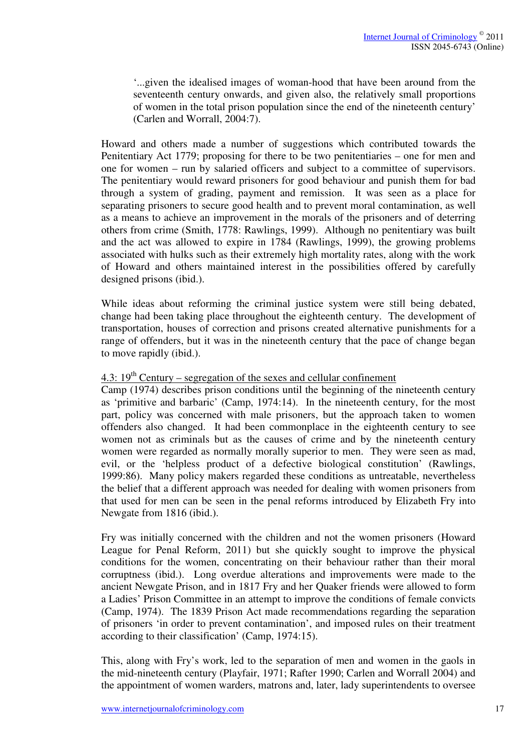'...given the idealised images of woman-hood that have been around from the seventeenth century onwards, and given also, the relatively small proportions of women in the total prison population since the end of the nineteenth century' (Carlen and Worrall, 2004:7).

Howard and others made a number of suggestions which contributed towards the Penitentiary Act 1779; proposing for there to be two penitentiaries – one for men and one for women – run by salaried officers and subject to a committee of supervisors. The penitentiary would reward prisoners for good behaviour and punish them for bad through a system of grading, payment and remission. It was seen as a place for separating prisoners to secure good health and to prevent moral contamination, as well as a means to achieve an improvement in the morals of the prisoners and of deterring others from crime (Smith, 1778: Rawlings, 1999). Although no penitentiary was built and the act was allowed to expire in 1784 (Rawlings, 1999), the growing problems associated with hulks such as their extremely high mortality rates, along with the work of Howard and others maintained interest in the possibilities offered by carefully designed prisons (ibid.).

While ideas about reforming the criminal justice system were still being debated, change had been taking place throughout the eighteenth century. The development of transportation, houses of correction and prisons created alternative punishments for a range of offenders, but it was in the nineteenth century that the pace of change began to move rapidly (ibid.).

## 4.3:  $19<sup>th</sup>$  Century – segregation of the sexes and cellular confinement

Camp (1974) describes prison conditions until the beginning of the nineteenth century as 'primitive and barbaric' (Camp, 1974:14). In the nineteenth century, for the most part, policy was concerned with male prisoners, but the approach taken to women offenders also changed. It had been commonplace in the eighteenth century to see women not as criminals but as the causes of crime and by the nineteenth century women were regarded as normally morally superior to men. They were seen as mad, evil, or the 'helpless product of a defective biological constitution' (Rawlings, 1999:86). Many policy makers regarded these conditions as untreatable, nevertheless the belief that a different approach was needed for dealing with women prisoners from that used for men can be seen in the penal reforms introduced by Elizabeth Fry into Newgate from 1816 (ibid.).

Fry was initially concerned with the children and not the women prisoners (Howard League for Penal Reform, 2011) but she quickly sought to improve the physical conditions for the women, concentrating on their behaviour rather than their moral corruptness (ibid.). Long overdue alterations and improvements were made to the ancient Newgate Prison, and in 1817 Fry and her Quaker friends were allowed to form a Ladies' Prison Committee in an attempt to improve the conditions of female convicts (Camp, 1974). The 1839 Prison Act made recommendations regarding the separation of prisoners 'in order to prevent contamination', and imposed rules on their treatment according to their classification' (Camp, 1974:15).

This, along with Fry's work, led to the separation of men and women in the gaols in the mid-nineteenth century (Playfair, 1971; Rafter 1990; Carlen and Worrall 2004) and the appointment of women warders, matrons and, later, lady superintendents to oversee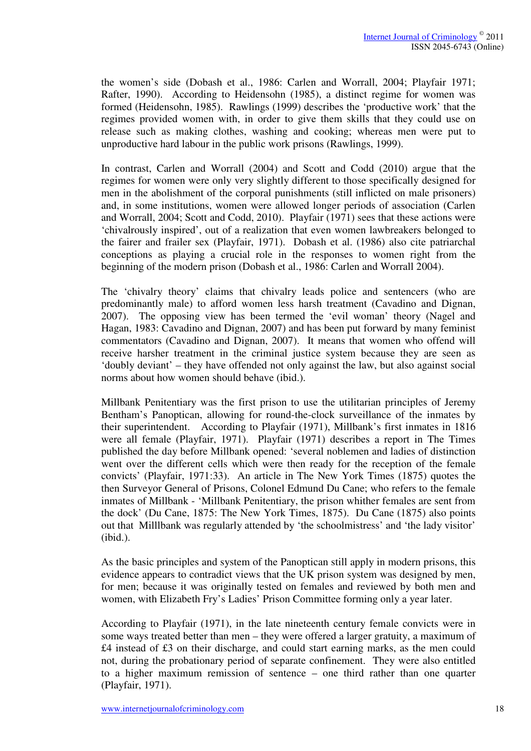the women's side (Dobash et al., 1986: Carlen and Worrall, 2004; Playfair 1971; Rafter, 1990). According to Heidensohn (1985), a distinct regime for women was formed (Heidensohn, 1985). Rawlings (1999) describes the 'productive work' that the regimes provided women with, in order to give them skills that they could use on release such as making clothes, washing and cooking; whereas men were put to unproductive hard labour in the public work prisons (Rawlings, 1999).

In contrast, Carlen and Worrall (2004) and Scott and Codd (2010) argue that the regimes for women were only very slightly different to those specifically designed for men in the abolishment of the corporal punishments (still inflicted on male prisoners) and, in some institutions, women were allowed longer periods of association (Carlen and Worrall, 2004; Scott and Codd, 2010). Playfair (1971) sees that these actions were 'chivalrously inspired', out of a realization that even women lawbreakers belonged to the fairer and frailer sex (Playfair, 1971). Dobash et al. (1986) also cite patriarchal conceptions as playing a crucial role in the responses to women right from the beginning of the modern prison (Dobash et al., 1986: Carlen and Worrall 2004).

The 'chivalry theory' claims that chivalry leads police and sentencers (who are predominantly male) to afford women less harsh treatment (Cavadino and Dignan, 2007). The opposing view has been termed the 'evil woman' theory (Nagel and Hagan, 1983: Cavadino and Dignan, 2007) and has been put forward by many feminist commentators (Cavadino and Dignan, 2007). It means that women who offend will receive harsher treatment in the criminal justice system because they are seen as 'doubly deviant' – they have offended not only against the law, but also against social norms about how women should behave (ibid.).

Millbank Penitentiary was the first prison to use the utilitarian principles of Jeremy Bentham's Panoptican, allowing for round-the-clock surveillance of the inmates by their superintendent. According to Playfair (1971), Millbank's first inmates in 1816 were all female (Playfair, 1971). Playfair (1971) describes a report in The Times published the day before Millbank opened: 'several noblemen and ladies of distinction went over the different cells which were then ready for the reception of the female convicts' (Playfair, 1971:33). An article in The New York Times (1875) quotes the then Surveyor General of Prisons, Colonel Edmund Du Cane; who refers to the female inmates of Millbank - 'Millbank Penitentiary, the prison whither females are sent from the dock' (Du Cane, 1875: The New York Times, 1875). Du Cane (1875) also points out that Milllbank was regularly attended by 'the schoolmistress' and 'the lady visitor' (ibid.).

As the basic principles and system of the Panoptican still apply in modern prisons, this evidence appears to contradict views that the UK prison system was designed by men, for men; because it was originally tested on females and reviewed by both men and women, with Elizabeth Fry's Ladies' Prison Committee forming only a year later.

According to Playfair (1971), in the late nineteenth century female convicts were in some ways treated better than men – they were offered a larger gratuity, a maximum of £4 instead of £3 on their discharge, and could start earning marks, as the men could not, during the probationary period of separate confinement. They were also entitled to a higher maximum remission of sentence – one third rather than one quarter (Playfair, 1971).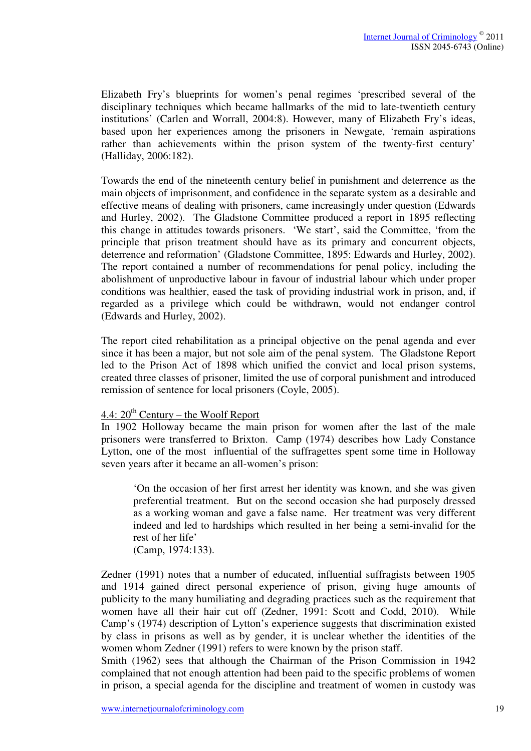Elizabeth Fry's blueprints for women's penal regimes 'prescribed several of the disciplinary techniques which became hallmarks of the mid to late-twentieth century institutions' (Carlen and Worrall, 2004:8). However, many of Elizabeth Fry's ideas, based upon her experiences among the prisoners in Newgate, 'remain aspirations rather than achievements within the prison system of the twenty-first century' (Halliday, 2006:182).

Towards the end of the nineteenth century belief in punishment and deterrence as the main objects of imprisonment, and confidence in the separate system as a desirable and effective means of dealing with prisoners, came increasingly under question (Edwards and Hurley, 2002). The Gladstone Committee produced a report in 1895 reflecting this change in attitudes towards prisoners. 'We start', said the Committee, 'from the principle that prison treatment should have as its primary and concurrent objects, deterrence and reformation' (Gladstone Committee, 1895: Edwards and Hurley, 2002). The report contained a number of recommendations for penal policy, including the abolishment of unproductive labour in favour of industrial labour which under proper conditions was healthier, eased the task of providing industrial work in prison, and, if regarded as a privilege which could be withdrawn, would not endanger control (Edwards and Hurley, 2002).

The report cited rehabilitation as a principal objective on the penal agenda and ever since it has been a major, but not sole aim of the penal system. The Gladstone Report led to the Prison Act of 1898 which unified the convict and local prison systems, created three classes of prisoner, limited the use of corporal punishment and introduced remission of sentence for local prisoners (Coyle, 2005).

#### 4.4:  $20^{th}$  Century – the Woolf Report

In 1902 Holloway became the main prison for women after the last of the male prisoners were transferred to Brixton. Camp (1974) describes how Lady Constance Lytton, one of the most influential of the suffragettes spent some time in Holloway seven years after it became an all-women's prison:

'On the occasion of her first arrest her identity was known, and she was given preferential treatment. But on the second occasion she had purposely dressed as a working woman and gave a false name. Her treatment was very different indeed and led to hardships which resulted in her being a semi-invalid for the rest of her life'

(Camp, 1974:133).

Zedner (1991) notes that a number of educated, influential suffragists between 1905 and 1914 gained direct personal experience of prison, giving huge amounts of publicity to the many humiliating and degrading practices such as the requirement that women have all their hair cut off (Zedner, 1991: Scott and Codd, 2010). While Camp's (1974) description of Lytton's experience suggests that discrimination existed by class in prisons as well as by gender, it is unclear whether the identities of the women whom Zedner (1991) refers to were known by the prison staff.

Smith (1962) sees that although the Chairman of the Prison Commission in 1942 complained that not enough attention had been paid to the specific problems of women in prison, a special agenda for the discipline and treatment of women in custody was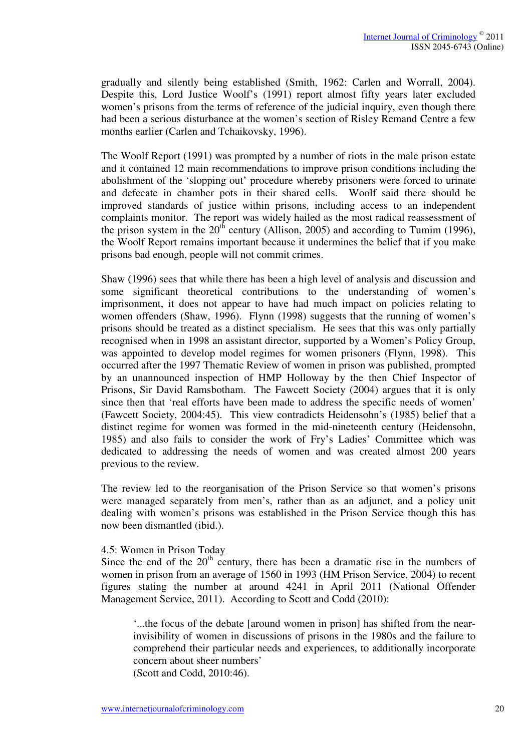gradually and silently being established (Smith, 1962: Carlen and Worrall, 2004). Despite this, Lord Justice Woolf's (1991) report almost fifty years later excluded women's prisons from the terms of reference of the judicial inquiry, even though there had been a serious disturbance at the women's section of Risley Remand Centre a few months earlier (Carlen and Tchaikovsky, 1996).

The Woolf Report (1991) was prompted by a number of riots in the male prison estate and it contained 12 main recommendations to improve prison conditions including the abolishment of the 'slopping out' procedure whereby prisoners were forced to urinate and defecate in chamber pots in their shared cells. Woolf said there should be improved standards of justice within prisons, including access to an independent complaints monitor. The report was widely hailed as the most radical reassessment of the prison system in the  $20<sup>th</sup>$  century (Allison, 2005) and according to Tumim (1996), the Woolf Report remains important because it undermines the belief that if you make prisons bad enough, people will not commit crimes.

Shaw (1996) sees that while there has been a high level of analysis and discussion and some significant theoretical contributions to the understanding of women's imprisonment, it does not appear to have had much impact on policies relating to women offenders (Shaw, 1996). Flynn (1998) suggests that the running of women's prisons should be treated as a distinct specialism. He sees that this was only partially recognised when in 1998 an assistant director, supported by a Women's Policy Group, was appointed to develop model regimes for women prisoners (Flynn, 1998). This occurred after the 1997 Thematic Review of women in prison was published, prompted by an unannounced inspection of HMP Holloway by the then Chief Inspector of Prisons, Sir David Ramsbotham. The Fawcett Society (2004) argues that it is only since then that 'real efforts have been made to address the specific needs of women' (Fawcett Society, 2004:45). This view contradicts Heidensohn's (1985) belief that a distinct regime for women was formed in the mid-nineteenth century (Heidensohn, 1985) and also fails to consider the work of Fry's Ladies' Committee which was dedicated to addressing the needs of women and was created almost 200 years previous to the review.

The review led to the reorganisation of the Prison Service so that women's prisons were managed separately from men's, rather than as an adjunct, and a policy unit dealing with women's prisons was established in the Prison Service though this has now been dismantled (ibid.).

#### 4.5: Women in Prison Today

Since the end of the  $20<sup>th</sup>$  century, there has been a dramatic rise in the numbers of women in prison from an average of 1560 in 1993 (HM Prison Service, 2004) to recent figures stating the number at around 4241 in April 2011 (National Offender Management Service, 2011). According to Scott and Codd (2010):

'...the focus of the debate [around women in prison] has shifted from the nearinvisibility of women in discussions of prisons in the 1980s and the failure to comprehend their particular needs and experiences, to additionally incorporate concern about sheer numbers' (Scott and Codd, 2010:46).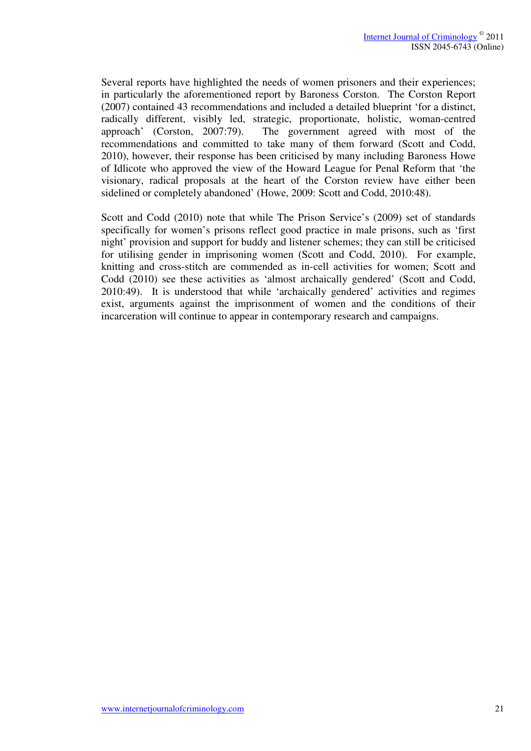Several reports have highlighted the needs of women prisoners and their experiences; in particularly the aforementioned report by Baroness Corston. The Corston Report (2007) contained 43 recommendations and included a detailed blueprint 'for a distinct, radically different, visibly led, strategic, proportionate, holistic, woman-centred approach' (Corston, 2007:79). The government agreed with most of the recommendations and committed to take many of them forward (Scott and Codd, 2010), however, their response has been criticised by many including Baroness Howe of Idlicote who approved the view of the Howard League for Penal Reform that 'the visionary, radical proposals at the heart of the Corston review have either been sidelined or completely abandoned' (Howe, 2009: Scott and Codd, 2010:48).

Scott and Codd (2010) note that while The Prison Service's (2009) set of standards specifically for women's prisons reflect good practice in male prisons, such as 'first night' provision and support for buddy and listener schemes; they can still be criticised for utilising gender in imprisoning women (Scott and Codd, 2010). For example, knitting and cross-stitch are commended as in-cell activities for women; Scott and Codd (2010) see these activities as 'almost archaically gendered' (Scott and Codd, 2010:49). It is understood that while 'archaically gendered' activities and regimes exist, arguments against the imprisonment of women and the conditions of their incarceration will continue to appear in contemporary research and campaigns.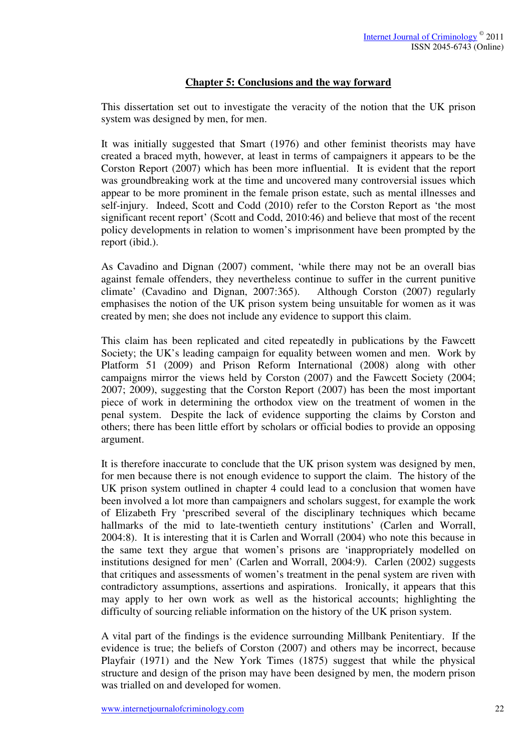## **Chapter 5: Conclusions and the way forward**

This dissertation set out to investigate the veracity of the notion that the UK prison system was designed by men, for men.

It was initially suggested that Smart (1976) and other feminist theorists may have created a braced myth, however, at least in terms of campaigners it appears to be the Corston Report (2007) which has been more influential. It is evident that the report was groundbreaking work at the time and uncovered many controversial issues which appear to be more prominent in the female prison estate, such as mental illnesses and self-injury. Indeed, Scott and Codd (2010) refer to the Corston Report as 'the most significant recent report' (Scott and Codd, 2010:46) and believe that most of the recent policy developments in relation to women's imprisonment have been prompted by the report (ibid.).

As Cavadino and Dignan (2007) comment, 'while there may not be an overall bias against female offenders, they nevertheless continue to suffer in the current punitive climate' (Cavadino and Dignan, 2007:365). Although Corston (2007) regularly emphasises the notion of the UK prison system being unsuitable for women as it was created by men; she does not include any evidence to support this claim.

This claim has been replicated and cited repeatedly in publications by the Fawcett Society; the UK's leading campaign for equality between women and men. Work by Platform 51 (2009) and Prison Reform International (2008) along with other campaigns mirror the views held by Corston (2007) and the Fawcett Society (2004; 2007; 2009), suggesting that the Corston Report (2007) has been the most important piece of work in determining the orthodox view on the treatment of women in the penal system. Despite the lack of evidence supporting the claims by Corston and others; there has been little effort by scholars or official bodies to provide an opposing argument.

It is therefore inaccurate to conclude that the UK prison system was designed by men, for men because there is not enough evidence to support the claim. The history of the UK prison system outlined in chapter 4 could lead to a conclusion that women have been involved a lot more than campaigners and scholars suggest, for example the work of Elizabeth Fry 'prescribed several of the disciplinary techniques which became hallmarks of the mid to late-twentieth century institutions' (Carlen and Worrall, 2004:8). It is interesting that it is Carlen and Worrall (2004) who note this because in the same text they argue that women's prisons are 'inappropriately modelled on institutions designed for men' (Carlen and Worrall, 2004:9). Carlen (2002) suggests that critiques and assessments of women's treatment in the penal system are riven with contradictory assumptions, assertions and aspirations. Ironically, it appears that this may apply to her own work as well as the historical accounts; highlighting the difficulty of sourcing reliable information on the history of the UK prison system.

A vital part of the findings is the evidence surrounding Millbank Penitentiary. If the evidence is true; the beliefs of Corston (2007) and others may be incorrect, because Playfair (1971) and the New York Times (1875) suggest that while the physical structure and design of the prison may have been designed by men, the modern prison was trialled on and developed for women.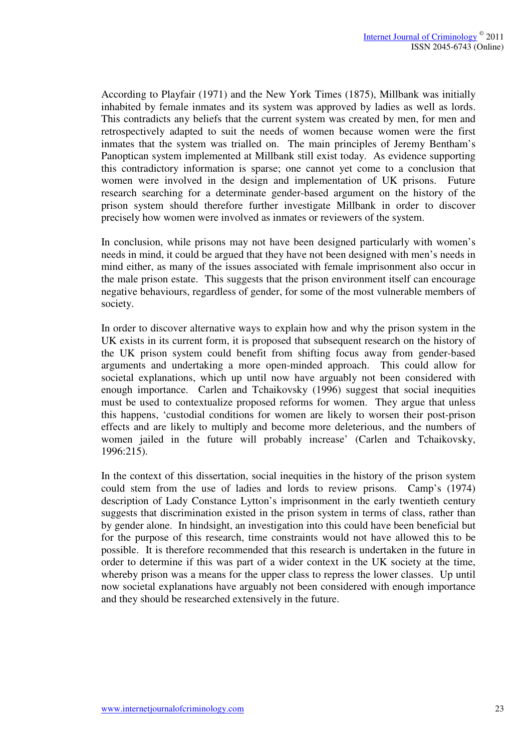According to Playfair (1971) and the New York Times (1875), Millbank was initially inhabited by female inmates and its system was approved by ladies as well as lords. This contradicts any beliefs that the current system was created by men, for men and retrospectively adapted to suit the needs of women because women were the first inmates that the system was trialled on. The main principles of Jeremy Bentham's Panoptican system implemented at Millbank still exist today. As evidence supporting this contradictory information is sparse; one cannot yet come to a conclusion that women were involved in the design and implementation of UK prisons. Future research searching for a determinate gender-based argument on the history of the prison system should therefore further investigate Millbank in order to discover precisely how women were involved as inmates or reviewers of the system.

In conclusion, while prisons may not have been designed particularly with women's needs in mind, it could be argued that they have not been designed with men's needs in mind either, as many of the issues associated with female imprisonment also occur in the male prison estate. This suggests that the prison environment itself can encourage negative behaviours, regardless of gender, for some of the most vulnerable members of society.

In order to discover alternative ways to explain how and why the prison system in the UK exists in its current form, it is proposed that subsequent research on the history of the UK prison system could benefit from shifting focus away from gender-based arguments and undertaking a more open-minded approach. This could allow for societal explanations, which up until now have arguably not been considered with enough importance. Carlen and Tchaikovsky (1996) suggest that social inequities must be used to contextualize proposed reforms for women. They argue that unless this happens, 'custodial conditions for women are likely to worsen their post-prison effects and are likely to multiply and become more deleterious, and the numbers of women jailed in the future will probably increase' (Carlen and Tchaikovsky, 1996:215).

In the context of this dissertation, social inequities in the history of the prison system could stem from the use of ladies and lords to review prisons. Camp's (1974) description of Lady Constance Lytton's imprisonment in the early twentieth century suggests that discrimination existed in the prison system in terms of class, rather than by gender alone. In hindsight, an investigation into this could have been beneficial but for the purpose of this research, time constraints would not have allowed this to be possible. It is therefore recommended that this research is undertaken in the future in order to determine if this was part of a wider context in the UK society at the time, whereby prison was a means for the upper class to repress the lower classes. Up until now societal explanations have arguably not been considered with enough importance and they should be researched extensively in the future.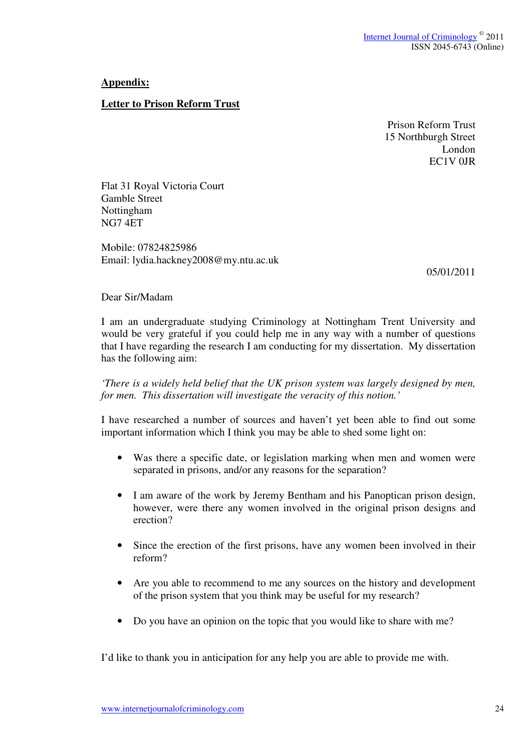## **Appendix:**

## **Letter to Prison Reform Trust**

Prison Reform Trust 15 Northburgh Street London EC1V 0JR

Flat 31 Royal Victoria Court Gamble Street Nottingham NG7 4ET

Mobile: 07824825986 Email: lydia.hackney2008@my.ntu.ac.uk

05/01/2011

Dear Sir/Madam

I am an undergraduate studying Criminology at Nottingham Trent University and would be very grateful if you could help me in any way with a number of questions that I have regarding the research I am conducting for my dissertation. My dissertation has the following aim:

*'There is a widely held belief that the UK prison system was largely designed by men, for men. This dissertation will investigate the veracity of this notion.'* 

I have researched a number of sources and haven't yet been able to find out some important information which I think you may be able to shed some light on:

- Was there a specific date, or legislation marking when men and women were separated in prisons, and/or any reasons for the separation?
- I am aware of the work by Jeremy Bentham and his Panoptican prison design, however, were there any women involved in the original prison designs and erection?
- Since the erection of the first prisons, have any women been involved in their reform?
- Are you able to recommend to me any sources on the history and development of the prison system that you think may be useful for my research?
- Do you have an opinion on the topic that you would like to share with me?

I'd like to thank you in anticipation for any help you are able to provide me with.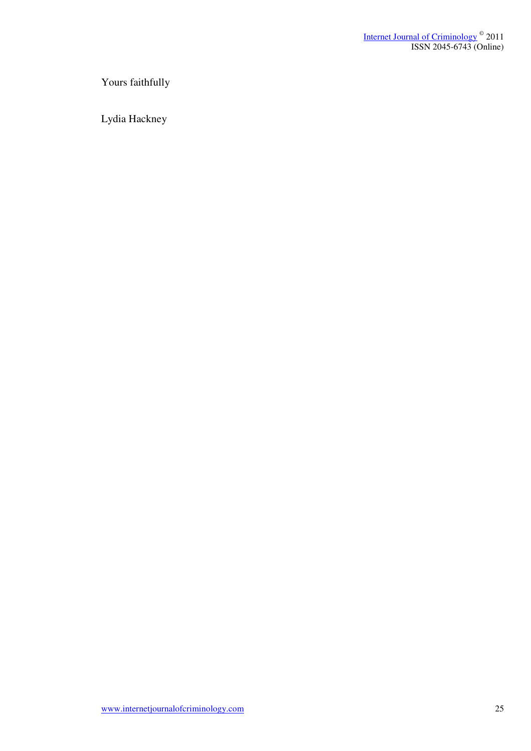Yours faithfully

Lydia Hackney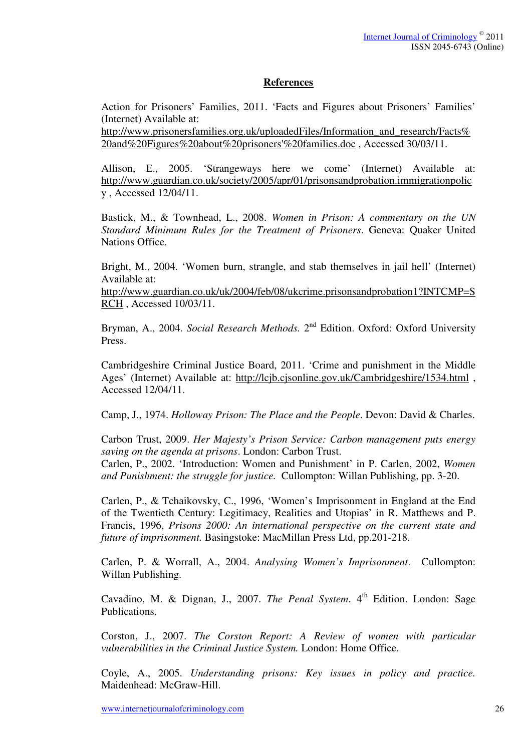#### **References**

Action for Prisoners' Families, 2011. 'Facts and Figures about Prisoners' Families' (Internet) Available at:

http://www.prisonersfamilies.org.uk/uploadedFiles/Information\_and\_research/Facts% 20and%20Figures%20about%20prisoners'%20families.doc , Accessed 30/03/11.

Allison, E., 2005. 'Strangeways here we come' (Internet) Available at: http://www.guardian.co.uk/society/2005/apr/01/prisonsandprobation.immigrationpolic y , Accessed 12/04/11.

Bastick, M., & Townhead, L., 2008. *Women in Prison: A commentary on the UN Standard Minimum Rules for the Treatment of Prisoners*. Geneva: Quaker United Nations Office.

Bright, M., 2004. 'Women burn, strangle, and stab themselves in jail hell' (Internet) Available at:

http://www.guardian.co.uk/uk/2004/feb/08/ukcrime.prisonsandprobation1?INTCMP=S RCH , Accessed 10/03/11.

Bryman, A., 2004. *Social Research Methods*. 2<sup>nd</sup> Edition. Oxford: Oxford University Press.

Cambridgeshire Criminal Justice Board, 2011. 'Crime and punishment in the Middle Ages' (Internet) Available at: http://lcjb.cjsonline.gov.uk/Cambridgeshire/1534.html, Accessed 12/04/11.

Camp, J., 1974. *Holloway Prison: The Place and the People*. Devon: David & Charles.

Carbon Trust, 2009. *Her Majesty's Prison Service: Carbon management puts energy saving on the agenda at prisons*. London: Carbon Trust.

Carlen, P., 2002. 'Introduction: Women and Punishment' in P. Carlen, 2002, *Women and Punishment: the struggle for justice.* Cullompton: Willan Publishing, pp. 3-20.

Carlen, P., & Tchaikovsky, C., 1996, 'Women's Imprisonment in England at the End of the Twentieth Century: Legitimacy, Realities and Utopias' in R. Matthews and P. Francis, 1996, *Prisons 2000: An international perspective on the current state and future of imprisonment.* Basingstoke: MacMillan Press Ltd, pp.201-218.

Carlen, P. & Worrall, A., 2004. *Analysing Women's Imprisonment*. Cullompton: Willan Publishing.

Cavadino, M. & Dignan, J., 2007. *The Penal System*. 4<sup>th</sup> Edition. London: Sage Publications.

Corston, J., 2007. *The Corston Report: A Review of women with particular vulnerabilities in the Criminal Justice System.* London: Home Office.

Coyle, A., 2005. *Understanding prisons: Key issues in policy and practice.*  Maidenhead: McGraw-Hill.

www.internetiournalofcriminology.com 26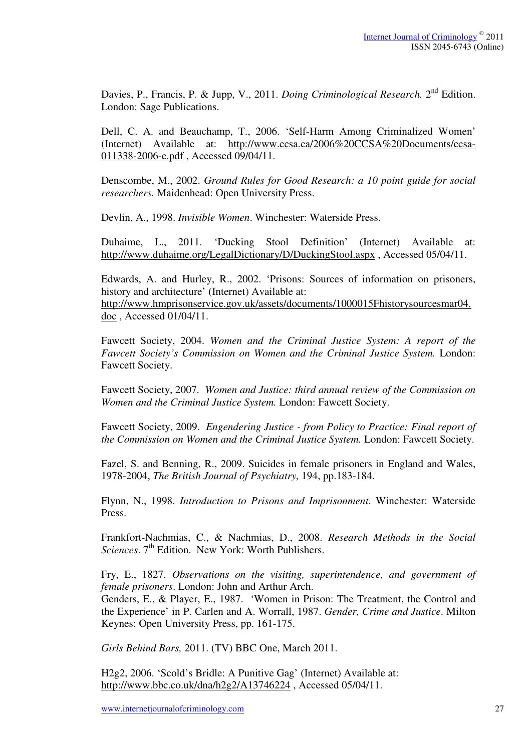Davies, P., Francis, P. & Jupp, V., 2011. *Doing Criminological Research*. 2<sup>nd</sup> Edition. London: Sage Publications.

Dell, C. A. and Beauchamp, T., 2006. 'Self-Harm Among Criminalized Women' (Internet) Available at: http://www.ccsa.ca/2006%20CCSA%20Documents/ccsa-011338-2006-e.pdf , Accessed 09/04/11.

Denscombe, M., 2002. *Ground Rules for Good Research: a 10 point guide for social researchers.* Maidenhead: Open University Press.

Devlin, A., 1998. *Invisible Women*. Winchester: Waterside Press.

Duhaime, L., 2011. 'Ducking Stool Definition' (Internet) Available at: http://www.duhaime.org/LegalDictionary/D/DuckingStool.aspx , Accessed 05/04/11.

Edwards, A. and Hurley, R., 2002. 'Prisons: Sources of information on prisoners, history and architecture' (Internet) Available at: http://www.hmprisonservice.gov.uk/assets/documents/1000015Fhistorysourcesmar04. doc , Accessed 01/04/11.

Fawcett Society, 2004. *Women and the Criminal Justice System: A report of the Fawcett Society's Commission on Women and the Criminal Justice System.* London: Fawcett Society.

Fawcett Society, 2007. *Women and Justice: third annual review of the Commission on Women and the Criminal Justice System.* London: Fawcett Society.

Fawcett Society, 2009. *Engendering Justice - from Policy to Practice: Final report of the Commission on Women and the Criminal Justice System.* London: Fawcett Society.

Fazel, S. and Benning, R., 2009. Suicides in female prisoners in England and Wales, 1978-2004, *The British Journal of Psychiatry,* 194, pp.183-184.

Flynn, N., 1998. *Introduction to Prisons and Imprisonment*. Winchester: Waterside Press.

Frankfort-Nachmias, C., & Nachmias, D., 2008. *Research Methods in the Social Sciences*. 7<sup>th</sup> Edition. New York: Worth Publishers.

Fry, E., 1827. *Observations on the visiting, superintendence, and government of female prisoners*. London: John and Arthur Arch.

Genders, E., & Player, E., 1987. 'Women in Prison: The Treatment, the Control and the Experience' in P. Carlen and A. Worrall, 1987. *Gender, Crime and Justice*. Milton Keynes: Open University Press, pp. 161-175.

*Girls Behind Bars,* 2011. (TV) BBC One, March 2011.

H2g2, 2006. 'Scold's Bridle: A Punitive Gag' (Internet) Available at: http://www.bbc.co.uk/dna/h2g2/A13746224 , Accessed 05/04/11.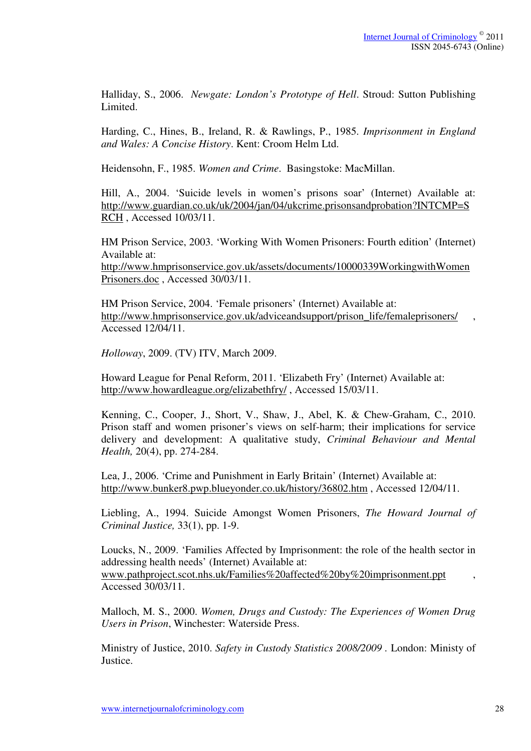Halliday, S., 2006. *Newgate: London's Prototype of Hell*. Stroud: Sutton Publishing Limited.

Harding, C., Hines, B., Ireland, R. & Rawlings, P., 1985. *Imprisonment in England and Wales: A Concise History*. Kent: Croom Helm Ltd.

Heidensohn, F., 1985. *Women and Crime*. Basingstoke: MacMillan.

Hill, A., 2004. 'Suicide levels in women's prisons soar' (Internet) Available at: http://www.guardian.co.uk/uk/2004/jan/04/ukcrime.prisonsandprobation?INTCMP=S RCH , Accessed 10/03/11.

HM Prison Service, 2003. 'Working With Women Prisoners: Fourth edition' (Internet) Available at:

http://www.hmprisonservice.gov.uk/assets/documents/10000339WorkingwithWomen Prisoners.doc , Accessed 30/03/11.

HM Prison Service, 2004. 'Female prisoners' (Internet) Available at: http://www.hmprisonservice.gov.uk/adviceandsupport/prison\_life/femaleprisoners/ Accessed 12/04/11.

*Holloway*, 2009. (TV) ITV, March 2009.

Howard League for Penal Reform, 2011. 'Elizabeth Fry' (Internet) Available at: http://www.howardleague.org/elizabethfry/ , Accessed 15/03/11.

Kenning, C., Cooper, J., Short, V., Shaw, J., Abel, K. & Chew-Graham, C., 2010. Prison staff and women prisoner's views on self-harm; their implications for service delivery and development: A qualitative study, *Criminal Behaviour and Mental Health,* 20(4), pp. 274-284.

Lea, J., 2006. 'Crime and Punishment in Early Britain' (Internet) Available at: http://www.bunker8.pwp.blueyonder.co.uk/history/36802.htm , Accessed 12/04/11.

Liebling, A., 1994. Suicide Amongst Women Prisoners, *The Howard Journal of Criminal Justice,* 33(1), pp. 1-9.

Loucks, N., 2009. 'Families Affected by Imprisonment: the role of the health sector in addressing health needs' (Internet) Available at: www.pathproject.scot.nhs.uk/Families%20affected%20by%20imprisonment.ppt , Accessed 30/03/11.

Malloch, M. S., 2000. *Women, Drugs and Custody: The Experiences of Women Drug Users in Prison*, Winchester: Waterside Press.

Ministry of Justice, 2010. *Safety in Custody Statistics 2008/2009 .* London: Ministy of Justice.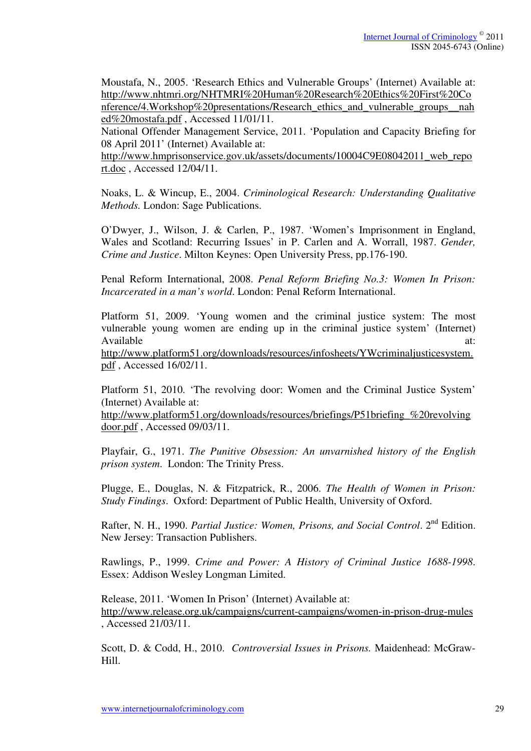Moustafa, N., 2005. 'Research Ethics and Vulnerable Groups' (Internet) Available at: http://www.nhtmri.org/NHTMRI%20Human%20Research%20Ethics%20First%20Co nference/4.Workshop%20presentations/Research ethics and vulnerable groups nah ed%20mostafa.pdf , Accessed 11/01/11.

National Offender Management Service, 2011. 'Population and Capacity Briefing for 08 April 2011' (Internet) Available at:

http://www.hmprisonservice.gov.uk/assets/documents/10004C9E08042011 web repo rt.doc , Accessed 12/04/11.

Noaks, L. & Wincup, E., 2004. *Criminological Research: Understanding Qualitative Methods.* London: Sage Publications.

O'Dwyer, J., Wilson, J. & Carlen, P., 1987. 'Women's Imprisonment in England, Wales and Scotland: Recurring Issues' in P. Carlen and A. Worrall, 1987. *Gender, Crime and Justice*. Milton Keynes: Open University Press, pp.176-190.

Penal Reform International, 2008. *Penal Reform Briefing No.3: Women In Prison: Incarcerated in a man's world*. London: Penal Reform International.

Platform 51, 2009. 'Young women and the criminal justice system: The most vulnerable young women are ending up in the criminal justice system' (Internet) Available at:  $\alpha$ 

http://www.platform51.org/downloads/resources/infosheets/YWcriminaljusticesystem. pdf , Accessed 16/02/11.

Platform 51, 2010. 'The revolving door: Women and the Criminal Justice System' (Internet) Available at:

http://www.platform51.org/downloads/resources/briefings/P51briefing\_%20revolving door.pdf , Accessed 09/03/11.

Playfair, G., 1971. *The Punitive Obsession: An unvarnished history of the English prison system*. London: The Trinity Press.

Plugge, E., Douglas, N. & Fitzpatrick, R., 2006. *The Health of Women in Prison: Study Findings*. Oxford: Department of Public Health, University of Oxford.

Rafter, N. H., 1990. *Partial Justice: Women, Prisons, and Social Control.* 2<sup>nd</sup> Edition. New Jersey: Transaction Publishers.

Rawlings, P., 1999. *Crime and Power: A History of Criminal Justice 1688-1998*. Essex: Addison Wesley Longman Limited.

Release, 2011. 'Women In Prison' (Internet) Available at: http://www.release.org.uk/campaigns/current-campaigns/women-in-prison-drug-mules , Accessed 21/03/11.

Scott, D. & Codd, H., 2010. *Controversial Issues in Prisons.* Maidenhead: McGraw-Hill.